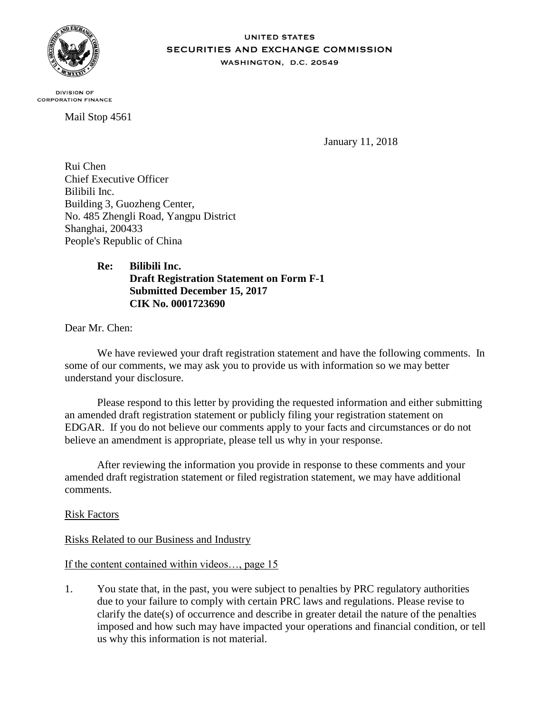

#### **UNITED STATES SECURITIES AND EXCHANGE COMMISSION** WASHINGTON, D.C. 20549

**DIVISION OF CORPORATION FINANCE** 

Mail Stop 4561

January 11, 2018

Rui Chen Chief Executive Officer Bilibili Inc. Building 3, Guozheng Center, No. 485 Zhengli Road, Yangpu District Shanghai, 200433 People's Republic of China

# **Re: Bilibili Inc. Draft Registration Statement on Form F-1 Submitted December 15, 2017 CIK No. 0001723690**

Dear Mr. Chen:

We have reviewed your draft registration statement and have the following comments. In some of our comments, we may ask you to provide us with information so we may better understand your disclosure.

Please respond to this letter by providing the requested information and either submitting an amended draft registration statement or publicly filing your registration statement on EDGAR. If you do not believe our comments apply to your facts and circumstances or do not believe an amendment is appropriate, please tell us why in your response.

After reviewing the information you provide in response to these comments and your amended draft registration statement or filed registration statement, we may have additional comments.

Risk Factors

Risks Related to our Business and Industry

If the content contained within videos…, page 15

1. You state that, in the past, you were subject to penalties by PRC regulatory authorities due to your failure to comply with certain PRC laws and regulations. Please revise to clarify the date(s) of occurrence and describe in greater detail the nature of the penalties imposed and how such may have impacted your operations and financial condition, or tell us why this information is not material.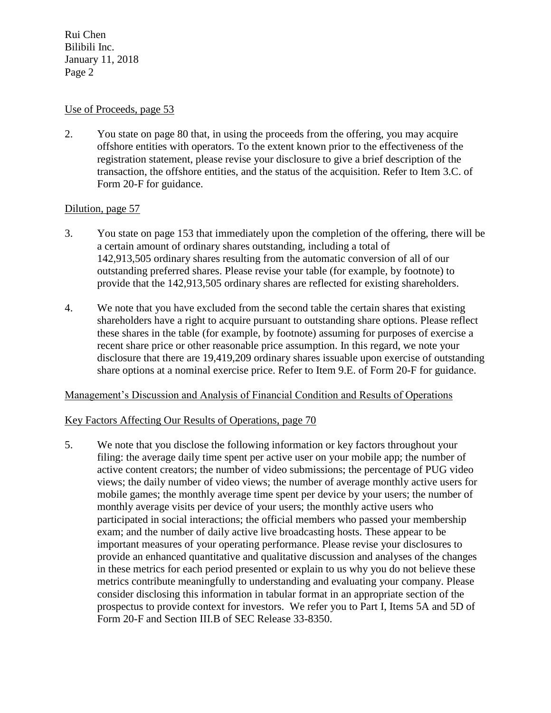### Use of Proceeds, page 53

2. You state on page 80 that, in using the proceeds from the offering, you may acquire offshore entities with operators. To the extent known prior to the effectiveness of the registration statement, please revise your disclosure to give a brief description of the transaction, the offshore entities, and the status of the acquisition. Refer to Item 3.C. of Form 20-F for guidance.

# Dilution, page 57

- 3. You state on page 153 that immediately upon the completion of the offering, there will be a certain amount of ordinary shares outstanding, including a total of 142,913,505 ordinary shares resulting from the automatic conversion of all of our outstanding preferred shares. Please revise your table (for example, by footnote) to provide that the 142,913,505 ordinary shares are reflected for existing shareholders.
- 4. We note that you have excluded from the second table the certain shares that existing shareholders have a right to acquire pursuant to outstanding share options. Please reflect these shares in the table (for example, by footnote) assuming for purposes of exercise a recent share price or other reasonable price assumption. In this regard, we note your disclosure that there are 19,419,209 ordinary shares issuable upon exercise of outstanding share options at a nominal exercise price. Refer to Item 9.E. of Form 20-F for guidance.

### Management's Discussion and Analysis of Financial Condition and Results of Operations

### Key Factors Affecting Our Results of Operations, page 70

5. We note that you disclose the following information or key factors throughout your filing: the average daily time spent per active user on your mobile app; the number of active content creators; the number of video submissions; the percentage of PUG video views; the daily number of video views; the number of average monthly active users for mobile games; the monthly average time spent per device by your users; the number of monthly average visits per device of your users; the monthly active users who participated in social interactions; the official members who passed your membership exam; and the number of daily active live broadcasting hosts. These appear to be important measures of your operating performance. Please revise your disclosures to provide an enhanced quantitative and qualitative discussion and analyses of the changes in these metrics for each period presented or explain to us why you do not believe these metrics contribute meaningfully to understanding and evaluating your company. Please consider disclosing this information in tabular format in an appropriate section of the prospectus to provide context for investors. We refer you to Part I, Items 5A and 5D of Form 20-F and Section III.B of SEC Release 33-8350.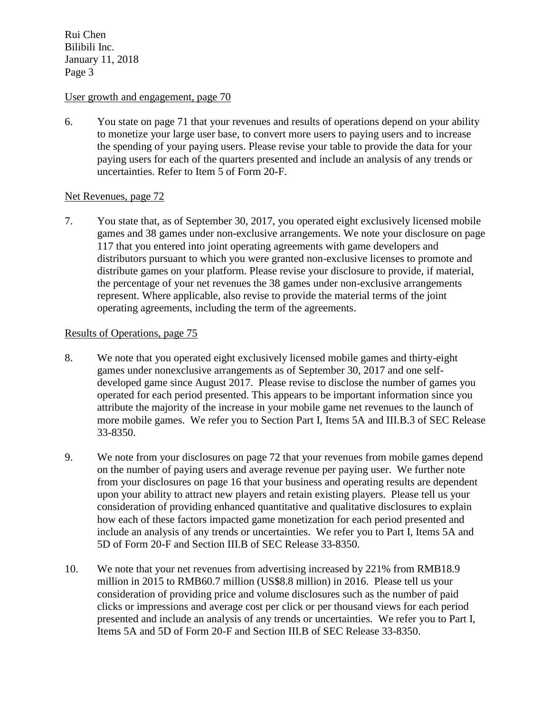#### User growth and engagement, page 70

6. You state on page 71 that your revenues and results of operations depend on your ability to monetize your large user base, to convert more users to paying users and to increase the spending of your paying users. Please revise your table to provide the data for your paying users for each of the quarters presented and include an analysis of any trends or uncertainties. Refer to Item 5 of Form 20-F.

#### Net Revenues, page 72

7. You state that, as of September 30, 2017, you operated eight exclusively licensed mobile games and 38 games under non-exclusive arrangements. We note your disclosure on page 117 that you entered into joint operating agreements with game developers and distributors pursuant to which you were granted non-exclusive licenses to promote and distribute games on your platform. Please revise your disclosure to provide, if material, the percentage of your net revenues the 38 games under non-exclusive arrangements represent. Where applicable, also revise to provide the material terms of the joint operating agreements, including the term of the agreements.

#### Results of Operations, page 75

- 8. We note that you operated eight exclusively licensed mobile games and thirty-eight games under nonexclusive arrangements as of September 30, 2017 and one selfdeveloped game since August 2017. Please revise to disclose the number of games you operated for each period presented. This appears to be important information since you attribute the majority of the increase in your mobile game net revenues to the launch of more mobile games. We refer you to Section Part I, Items 5A and III.B.3 of SEC Release 33-8350.
- 9. We note from your disclosures on page 72 that your revenues from mobile games depend on the number of paying users and average revenue per paying user. We further note from your disclosures on page 16 that your business and operating results are dependent upon your ability to attract new players and retain existing players. Please tell us your consideration of providing enhanced quantitative and qualitative disclosures to explain how each of these factors impacted game monetization for each period presented and include an analysis of any trends or uncertainties. We refer you to Part I, Items 5A and 5D of Form 20-F and Section III.B of SEC Release 33-8350.
- 10. We note that your net revenues from advertising increased by 221% from RMB18.9 million in 2015 to RMB60.7 million (US\$8.8 million) in 2016. Please tell us your consideration of providing price and volume disclosures such as the number of paid clicks or impressions and average cost per click or per thousand views for each period presented and include an analysis of any trends or uncertainties. We refer you to Part I, Items 5A and 5D of Form 20-F and Section III.B of SEC Release 33-8350.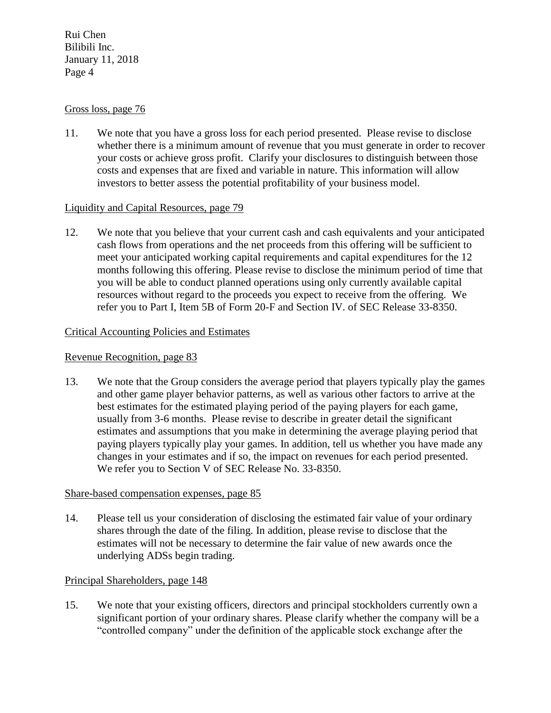#### Gross loss, page 76

11. We note that you have a gross loss for each period presented. Please revise to disclose whether there is a minimum amount of revenue that you must generate in order to recover your costs or achieve gross profit. Clarify your disclosures to distinguish between those costs and expenses that are fixed and variable in nature. This information will allow investors to better assess the potential profitability of your business model.

### Liquidity and Capital Resources, page 79

12. We note that you believe that your current cash and cash equivalents and your anticipated cash flows from operations and the net proceeds from this offering will be sufficient to meet your anticipated working capital requirements and capital expenditures for the 12 months following this offering. Please revise to disclose the minimum period of time that you will be able to conduct planned operations using only currently available capital resources without regard to the proceeds you expect to receive from the offering. We refer you to Part I, Item 5B of Form 20-F and Section IV. of SEC Release 33-8350.

### Critical Accounting Policies and Estimates

#### Revenue Recognition, page 83

13. We note that the Group considers the average period that players typically play the games and other game player behavior patterns, as well as various other factors to arrive at the best estimates for the estimated playing period of the paying players for each game, usually from 3-6 months. Please revise to describe in greater detail the significant estimates and assumptions that you make in determining the average playing period that paying players typically play your games. In addition, tell us whether you have made any changes in your estimates and if so, the impact on revenues for each period presented. We refer you to Section V of SEC Release No. 33-8350.

#### Share-based compensation expenses, page 85

14. Please tell us your consideration of disclosing the estimated fair value of your ordinary shares through the date of the filing. In addition, please revise to disclose that the estimates will not be necessary to determine the fair value of new awards once the underlying ADSs begin trading.

### Principal Shareholders, page 148

15. We note that your existing officers, directors and principal stockholders currently own a significant portion of your ordinary shares. Please clarify whether the company will be a "controlled company" under the definition of the applicable stock exchange after the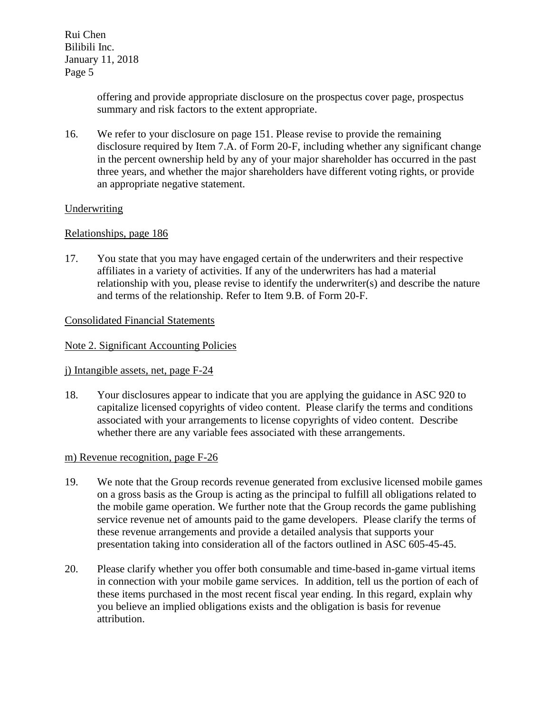> offering and provide appropriate disclosure on the prospectus cover page, prospectus summary and risk factors to the extent appropriate.

16. We refer to your disclosure on page 151. Please revise to provide the remaining disclosure required by Item 7.A. of Form 20-F, including whether any significant change in the percent ownership held by any of your major shareholder has occurred in the past three years, and whether the major shareholders have different voting rights, or provide an appropriate negative statement.

### Underwriting

# Relationships, page 186

17. You state that you may have engaged certain of the underwriters and their respective affiliates in a variety of activities. If any of the underwriters has had a material relationship with you, please revise to identify the underwriter(s) and describe the nature and terms of the relationship. Refer to Item 9.B. of Form 20-F.

# Consolidated Financial Statements

### Note 2. Significant Accounting Policies

### j) Intangible assets, net, page F-24

18. Your disclosures appear to indicate that you are applying the guidance in ASC 920 to capitalize licensed copyrights of video content. Please clarify the terms and conditions associated with your arrangements to license copyrights of video content. Describe whether there are any variable fees associated with these arrangements.

### m) Revenue recognition, page F-26

- 19. We note that the Group records revenue generated from exclusive licensed mobile games on a gross basis as the Group is acting as the principal to fulfill all obligations related to the mobile game operation. We further note that the Group records the game publishing service revenue net of amounts paid to the game developers. Please clarify the terms of these revenue arrangements and provide a detailed analysis that supports your presentation taking into consideration all of the factors outlined in ASC 605-45-45.
- 20. Please clarify whether you offer both consumable and time-based in-game virtual items in connection with your mobile game services. In addition, tell us the portion of each of these items purchased in the most recent fiscal year ending. In this regard, explain why you believe an implied obligations exists and the obligation is basis for revenue attribution.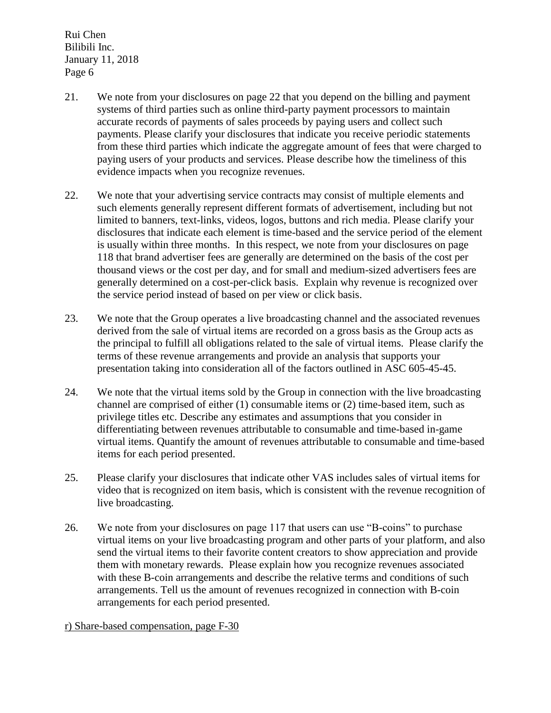- 21. We note from your disclosures on page 22 that you depend on the billing and payment systems of third parties such as online third-party payment processors to maintain accurate records of payments of sales proceeds by paying users and collect such payments. Please clarify your disclosures that indicate you receive periodic statements from these third parties which indicate the aggregate amount of fees that were charged to paying users of your products and services. Please describe how the timeliness of this evidence impacts when you recognize revenues.
- 22. We note that your advertising service contracts may consist of multiple elements and such elements generally represent different formats of advertisement, including but not limited to banners, text-links, videos, logos, buttons and rich media. Please clarify your disclosures that indicate each element is time-based and the service period of the element is usually within three months. In this respect, we note from your disclosures on page 118 that brand advertiser fees are generally are determined on the basis of the cost per thousand views or the cost per day, and for small and medium-sized advertisers fees are generally determined on a cost-per-click basis. Explain why revenue is recognized over the service period instead of based on per view or click basis.
- 23. We note that the Group operates a live broadcasting channel and the associated revenues derived from the sale of virtual items are recorded on a gross basis as the Group acts as the principal to fulfill all obligations related to the sale of virtual items. Please clarify the terms of these revenue arrangements and provide an analysis that supports your presentation taking into consideration all of the factors outlined in ASC 605-45-45.
- 24. We note that the virtual items sold by the Group in connection with the live broadcasting channel are comprised of either (1) consumable items or (2) time-based item, such as privilege titles etc. Describe any estimates and assumptions that you consider in differentiating between revenues attributable to consumable and time-based in-game virtual items. Quantify the amount of revenues attributable to consumable and time-based items for each period presented.
- 25. Please clarify your disclosures that indicate other VAS includes sales of virtual items for video that is recognized on item basis, which is consistent with the revenue recognition of live broadcasting.
- 26. We note from your disclosures on page 117 that users can use "B-coins" to purchase virtual items on your live broadcasting program and other parts of your platform, and also send the virtual items to their favorite content creators to show appreciation and provide them with monetary rewards. Please explain how you recognize revenues associated with these B-coin arrangements and describe the relative terms and conditions of such arrangements. Tell us the amount of revenues recognized in connection with B-coin arrangements for each period presented.

r) Share-based compensation, page F-30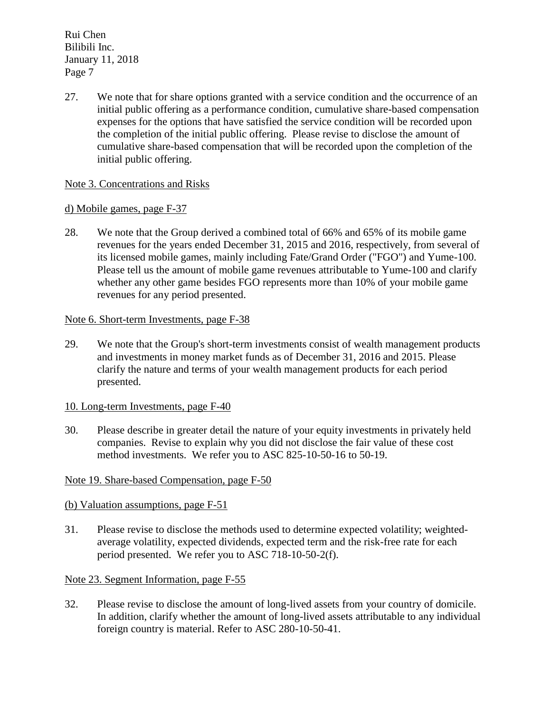27. We note that for share options granted with a service condition and the occurrence of an initial public offering as a performance condition, cumulative share-based compensation expenses for the options that have satisfied the service condition will be recorded upon the completion of the initial public offering. Please revise to disclose the amount of cumulative share-based compensation that will be recorded upon the completion of the initial public offering.

### Note 3. Concentrations and Risks

### d) Mobile games, page F-37

28. We note that the Group derived a combined total of 66% and 65% of its mobile game revenues for the years ended December 31, 2015 and 2016, respectively, from several of its licensed mobile games, mainly including Fate/Grand Order ("FGO") and Yume-100. Please tell us the amount of mobile game revenues attributable to Yume-100 and clarify whether any other game besides FGO represents more than 10% of your mobile game revenues for any period presented.

#### Note 6. Short-term Investments, page F-38

29. We note that the Group's short-term investments consist of wealth management products and investments in money market funds as of December 31, 2016 and 2015. Please clarify the nature and terms of your wealth management products for each period presented.

### 10. Long-term Investments, page F-40

30. Please describe in greater detail the nature of your equity investments in privately held companies. Revise to explain why you did not disclose the fair value of these cost method investments. We refer you to ASC 825-10-50-16 to 50-19.

### Note 19. Share-based Compensation, page F-50

### (b) Valuation assumptions, page F-51

31. Please revise to disclose the methods used to determine expected volatility; weightedaverage volatility, expected dividends, expected term and the risk-free rate for each period presented. We refer you to ASC 718-10-50-2(f).

### Note 23. Segment Information, page F-55

32. Please revise to disclose the amount of long-lived assets from your country of domicile. In addition, clarify whether the amount of long-lived assets attributable to any individual foreign country is material. Refer to ASC 280-10-50-41.